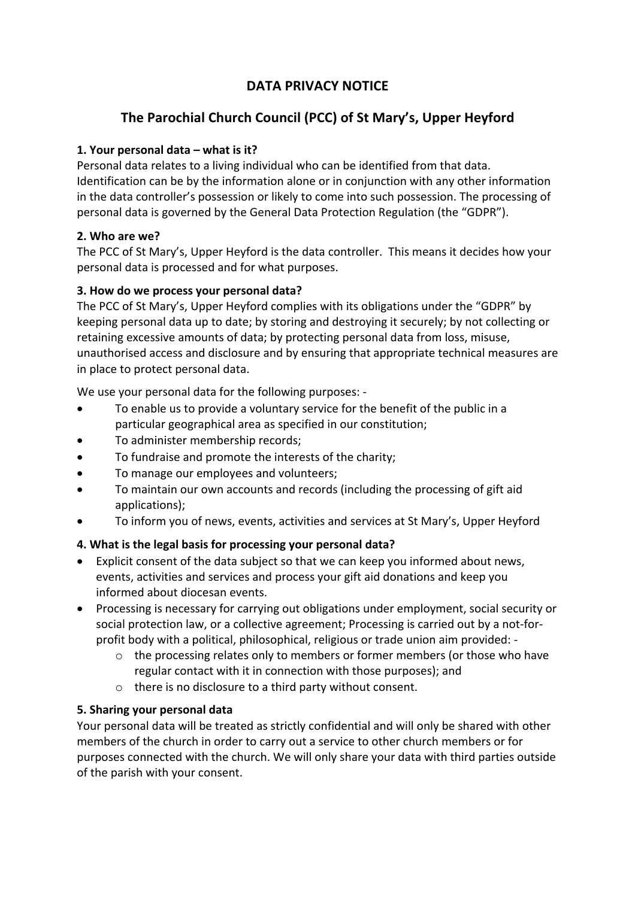# **DATA PRIVACY NOTICE**

# **The Parochial Church Council (PCC) of St Mary's, Upper Heyford**

## **1. Your personal data – what is it?**

Personal data relates to a living individual who can be identified from that data. Identification can be by the information alone or in conjunction with any other information in the data controller's possession or likely to come into such possession. The processing of personal data is governed by the General Data Protection Regulation (the "GDPR").

## **2. Who are we?**

The PCC of St Mary's, Upper Heyford is the data controller. This means it decides how your personal data is processed and for what purposes.

## **3. How do we process your personal data?**

The PCC of St Mary's, Upper Heyford complies with its obligations under the "GDPR" by keeping personal data up to date; by storing and destroying it securely; by not collecting or retaining excessive amounts of data; by protecting personal data from loss, misuse, unauthorised access and disclosure and by ensuring that appropriate technical measures are in place to protect personal data.

We use your personal data for the following purposes: -

- To enable us to provide a voluntary service for the benefit of the public in a particular geographical area as specified in our constitution;
- To administer membership records;
- To fundraise and promote the interests of the charity;
- To manage our employees and volunteers;
- To maintain our own accounts and records (including the processing of gift aid applications);
- To inform you of news, events, activities and services at St Mary's, Upper Heyford

## **4. What is the legal basis for processing your personal data?**

- Explicit consent of the data subject so that we can keep you informed about news, events, activities and services and process your gift aid donations and keep you informed about diocesan events.
- Processing is necessary for carrying out obligations under employment, social security or social protection law, or a collective agreement; Processing is carried out by a not-forprofit body with a political, philosophical, religious or trade union aim provided:
	- o the processing relates only to members or former members (or those who have regular contact with it in connection with those purposes); and
	- o there is no disclosure to a third party without consent.

## **5. Sharing your personal data**

Your personal data will be treated as strictly confidential and will only be shared with other members of the church in order to carry out a service to other church members or for purposes connected with the church. We will only share your data with third parties outside of the parish with your consent.